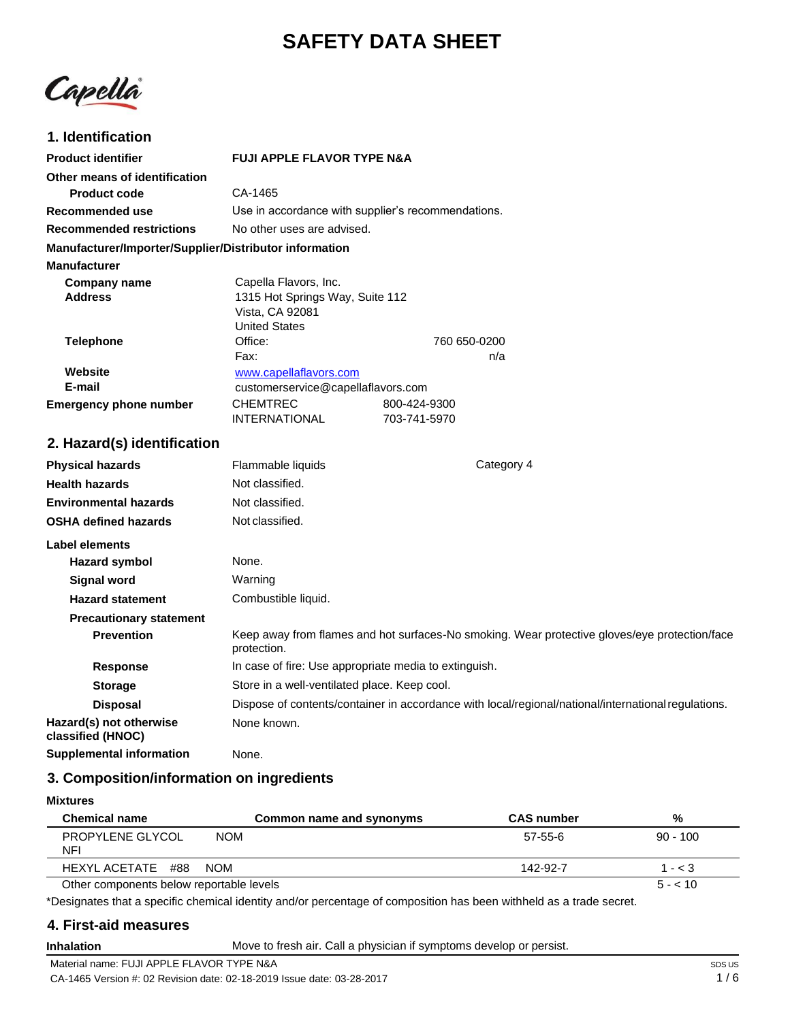# **SAFETY DATA SHEET**

Capella

### **1. Identification**

| <b>Product identifier</b>                              | <b>FUJI APPLE FLAVOR TYPE N&amp;A</b>                                                               |                                                                                                     |
|--------------------------------------------------------|-----------------------------------------------------------------------------------------------------|-----------------------------------------------------------------------------------------------------|
| Other means of identification                          |                                                                                                     |                                                                                                     |
| <b>Product code</b>                                    | CA-1465                                                                                             |                                                                                                     |
| <b>Recommended use</b>                                 | Use in accordance with supplier's recommendations.                                                  |                                                                                                     |
| <b>Recommended restrictions</b>                        | No other uses are advised.                                                                          |                                                                                                     |
| Manufacturer/Importer/Supplier/Distributor information |                                                                                                     |                                                                                                     |
| <b>Manufacturer</b>                                    |                                                                                                     |                                                                                                     |
| <b>Company name</b><br><b>Address</b>                  | Capella Flavors, Inc.<br>1315 Hot Springs Way, Suite 112<br>Vista, CA 92081<br><b>United States</b> |                                                                                                     |
| <b>Telephone</b>                                       | Office:                                                                                             | 760 650-0200                                                                                        |
|                                                        | Fax:                                                                                                | n/a                                                                                                 |
| Website<br>E-mail                                      | www.capellaflavors.com<br>customerservice@capellaflavors.com                                        |                                                                                                     |
| <b>Emergency phone number</b>                          | CHEMTREC                                                                                            | 800-424-9300                                                                                        |
|                                                        | <b>INTERNATIONAL</b>                                                                                | 703-741-5970                                                                                        |
| 2. Hazard(s) identification                            |                                                                                                     |                                                                                                     |
| <b>Physical hazards</b>                                | Flammable liquids                                                                                   | Category 4                                                                                          |
| <b>Health hazards</b>                                  | Not classified.                                                                                     |                                                                                                     |
| <b>Environmental hazards</b>                           | Not classified.                                                                                     |                                                                                                     |
| <b>OSHA defined hazards</b>                            | Not classified.                                                                                     |                                                                                                     |
| Label elements                                         |                                                                                                     |                                                                                                     |
| <b>Hazard symbol</b>                                   | None.                                                                                               |                                                                                                     |
| <b>Signal word</b>                                     | Warning                                                                                             |                                                                                                     |
| <b>Hazard statement</b>                                | Combustible liquid.                                                                                 |                                                                                                     |
| <b>Precautionary statement</b>                         |                                                                                                     |                                                                                                     |
| <b>Prevention</b>                                      | protection.                                                                                         | Keep away from flames and hot surfaces-No smoking. Wear protective gloves/eye protection/face       |
| <b>Response</b>                                        | In case of fire: Use appropriate media to extinguish.                                               |                                                                                                     |
| <b>Storage</b>                                         | Store in a well-ventilated place. Keep cool.                                                        |                                                                                                     |
| <b>Disposal</b>                                        |                                                                                                     | Dispose of contents/container in accordance with local/regional/national/international regulations. |
| Hazard(s) not otherwise<br>classified (HNOC)           | None known.                                                                                         |                                                                                                     |
| <b>Supplemental information</b>                        | None.                                                                                               |                                                                                                     |

### **3. Composition/information on ingredients**

| Mixtures |
|----------|
|----------|

| <b>Chemical name</b><br>Common name and synonyms | <b>CAS number</b> | %          |
|--------------------------------------------------|-------------------|------------|
| <b>PROPYLENE GLYCOL</b><br><b>NOM</b><br>NFI     | 57-55-6           | $90 - 100$ |
| HEXYL ACETATE #88<br><b>NOM</b>                  | 142-92-7          | $1 - < 3$  |
| Other components below reportable levels         |                   | $5 - 10$   |

\*Designates that a specific chemical identity and/or percentage of composition has been withheld as a trade secret.

### **4. First-aid measures**

**Inhalation** Move to fresh air. Call a physician if symptoms develop or persist.

Material name: FUJI APPLE FLAVOR TYPE N&A CA-1465 Version #: 02 Revision date: 02-18-2019 Issue date: 03-28-2017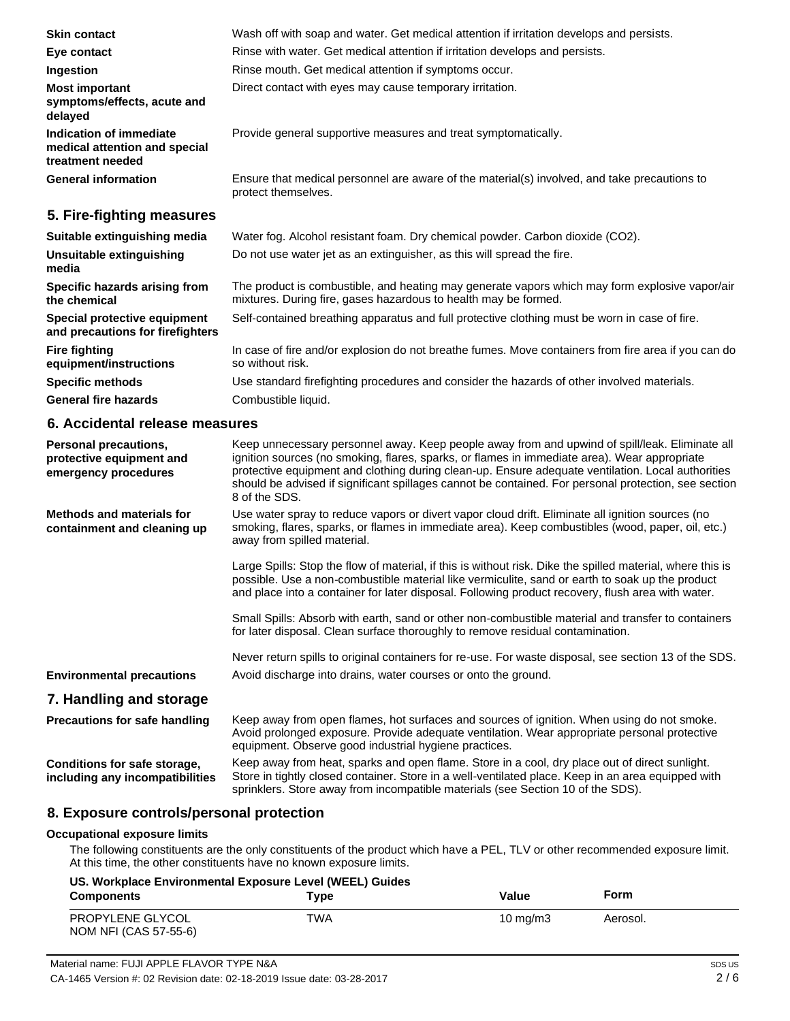| <b>Skin contact</b>                                                          | Wash off with soap and water. Get medical attention if irritation develops and persists.                                                                          |
|------------------------------------------------------------------------------|-------------------------------------------------------------------------------------------------------------------------------------------------------------------|
| Eye contact                                                                  | Rinse with water. Get medical attention if irritation develops and persists.                                                                                      |
| Ingestion                                                                    | Rinse mouth. Get medical attention if symptoms occur.                                                                                                             |
| <b>Most important</b><br>symptoms/effects, acute and<br>delayed              | Direct contact with eyes may cause temporary irritation.                                                                                                          |
| Indication of immediate<br>medical attention and special<br>treatment needed | Provide general supportive measures and treat symptomatically.                                                                                                    |
| <b>General information</b>                                                   | Ensure that medical personnel are aware of the material(s) involved, and take precautions to<br>protect themselves.                                               |
| 5. Fire-fighting measures                                                    |                                                                                                                                                                   |
| Suitable extinguishing media                                                 | Water fog. Alcohol resistant foam. Dry chemical powder. Carbon dioxide (CO2).                                                                                     |
| Unsuitable extinguishing<br>media                                            | Do not use water jet as an extinguisher, as this will spread the fire.                                                                                            |
| Specific hazards arising from<br>the chemical                                | The product is combustible, and heating may generate vapors which may form explosive vapor/air<br>mixtures. During fire, gases hazardous to health may be formed. |
| Special protective equipment<br>and precautions for firefighters             | Self-contained breathing apparatus and full protective clothing must be worn in case of fire.                                                                     |
| <b>Fire fighting</b><br>equipment/instructions                               | In case of fire and/or explosion do not breathe fumes. Move containers from fire area if you can do<br>so without risk.                                           |
| <b>Specific methods</b>                                                      | Use standard firefighting procedures and consider the hazards of other involved materials.                                                                        |

**General fire hazards**

#### **6. Accidental release measures**

Combustible liquid.

| Personal precautions,<br>protective equipment and<br>emergency procedures | Keep unnecessary personnel away. Keep people away from and upwind of spill/leak. Eliminate all<br>ignition sources (no smoking, flares, sparks, or flames in immediate area). Wear appropriate<br>protective equipment and clothing during clean-up. Ensure adequate ventilation. Local authorities<br>should be advised if significant spillages cannot be contained. For personal protection, see section<br>8 of the SDS. |
|---------------------------------------------------------------------------|------------------------------------------------------------------------------------------------------------------------------------------------------------------------------------------------------------------------------------------------------------------------------------------------------------------------------------------------------------------------------------------------------------------------------|
| <b>Methods and materials for</b><br>containment and cleaning up           | Use water spray to reduce vapors or divert vapor cloud drift. Eliminate all ignition sources (no<br>smoking, flares, sparks, or flames in immediate area). Keep combustibles (wood, paper, oil, etc.)<br>away from spilled material.                                                                                                                                                                                         |
|                                                                           | Large Spills: Stop the flow of material, if this is without risk. Dike the spilled material, where this is<br>possible. Use a non-combustible material like vermiculite, sand or earth to soak up the product<br>and place into a container for later disposal. Following product recovery, flush area with water.                                                                                                           |
|                                                                           | Small Spills: Absorb with earth, sand or other non-combustible material and transfer to containers<br>for later disposal. Clean surface thoroughly to remove residual contamination.                                                                                                                                                                                                                                         |
|                                                                           | Never return spills to original containers for re-use. For waste disposal, see section 13 of the SDS.                                                                                                                                                                                                                                                                                                                        |
| <b>Environmental precautions</b>                                          | Avoid discharge into drains, water courses or onto the ground.                                                                                                                                                                                                                                                                                                                                                               |
| 7. Handling and storage                                                   |                                                                                                                                                                                                                                                                                                                                                                                                                              |
| <b>Precautions for safe handling</b>                                      | Keep away from open flames, hot surfaces and sources of ignition. When using do not smoke.<br>Avoid prolonged exposure. Provide adequate ventilation. Wear appropriate personal protective<br>equipment. Observe good industrial hygiene practices.                                                                                                                                                                          |
| Conditions for safe storage,<br>including any incompatibilities           | Keep away from heat, sparks and open flame. Store in a cool, dry place out of direct sunlight.<br>Store in tightly closed container. Store in a well-ventilated place. Keep in an area equipped with<br>sprinklers. Store away from incompatible materials (see Section 10 of the SDS).                                                                                                                                      |

#### **8. Exposure controls/personal protection**

#### **Occupational exposure limits**

The following constituents are the only constituents of the product which have a PEL, TLV or other recommended exposure limit. At this time, the other constituents have no known exposure limits.

| US. Workplace Environmental Exposure Level (WEEL) Guides |      |            |          |
|----------------------------------------------------------|------|------------|----------|
| <b>Components</b>                                        | Tvpe | Value      | Form     |
| PROPYLENE GLYCOL<br>NOM NFI (CAS 57-55-6)                | TWA  | 10 $mq/m3$ | Aerosol. |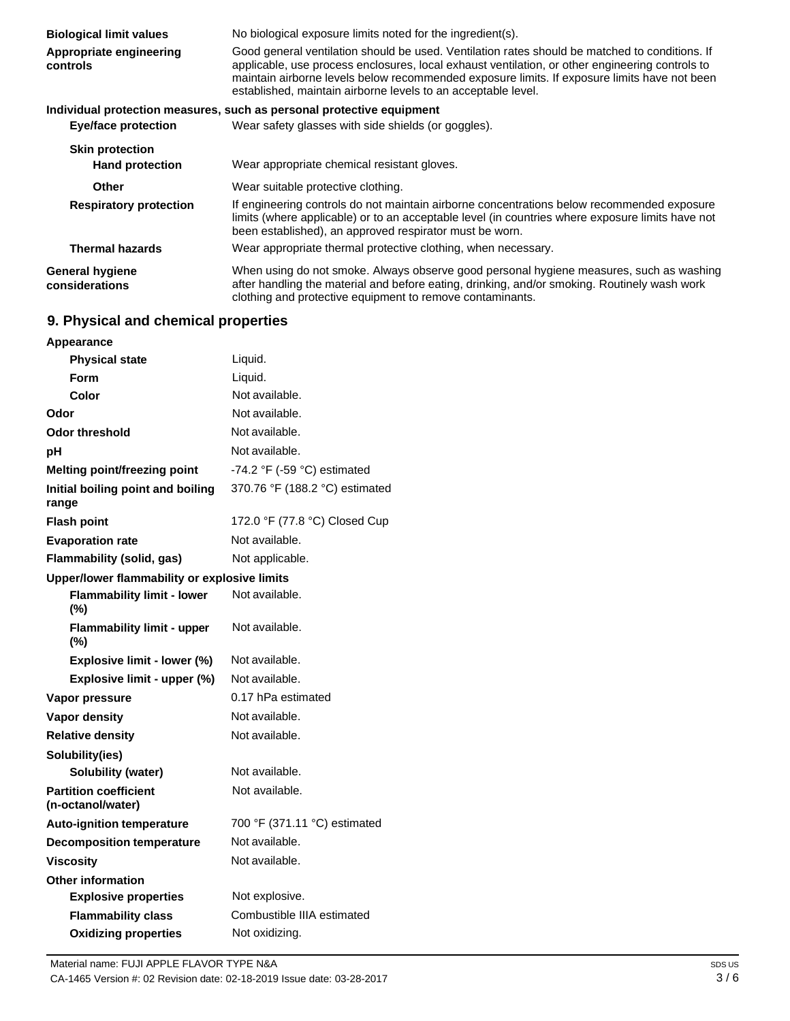| <b>Biological limit values</b><br>Appropriate engineering<br>controls | No biological exposure limits noted for the ingredient(s).<br>Good general ventilation should be used. Ventilation rates should be matched to conditions. If<br>applicable, use process enclosures, local exhaust ventilation, or other engineering controls to<br>maintain airborne levels below recommended exposure limits. If exposure limits have not been<br>established, maintain airborne levels to an acceptable level. |
|-----------------------------------------------------------------------|----------------------------------------------------------------------------------------------------------------------------------------------------------------------------------------------------------------------------------------------------------------------------------------------------------------------------------------------------------------------------------------------------------------------------------|
| Eye/face protection                                                   | Individual protection measures, such as personal protective equipment<br>Wear safety glasses with side shields (or goggles).                                                                                                                                                                                                                                                                                                     |
| <b>Skin protection</b><br><b>Hand protection</b>                      | Wear appropriate chemical resistant gloves.                                                                                                                                                                                                                                                                                                                                                                                      |
| <b>Other</b>                                                          | Wear suitable protective clothing.                                                                                                                                                                                                                                                                                                                                                                                               |
| <b>Respiratory protection</b>                                         | If engineering controls do not maintain airborne concentrations below recommended exposure<br>limits (where applicable) or to an acceptable level (in countries where exposure limits have not<br>been established), an approved respirator must be worn.                                                                                                                                                                        |
| <b>Thermal hazards</b>                                                | Wear appropriate thermal protective clothing, when necessary.                                                                                                                                                                                                                                                                                                                                                                    |
| <b>General hygiene</b><br>considerations                              | When using do not smoke. Always observe good personal hygiene measures, such as washing<br>after handling the material and before eating, drinking, and/or smoking. Routinely wash work<br>clothing and protective equipment to remove contaminants.                                                                                                                                                                             |

# **9. Physical and chemical properties**

| Appearance                                        |                                               |
|---------------------------------------------------|-----------------------------------------------|
| <b>Physical state</b>                             | Liquid.                                       |
| Form                                              | Liquid.                                       |
| Color                                             | Not available.                                |
| Odor                                              | Not available.                                |
| <b>Odor threshold</b>                             | Not available.                                |
| рH                                                | Not available.                                |
| <b>Melting point/freezing point</b>               | -74.2 $\degree$ F (-59 $\degree$ C) estimated |
| Initial boiling point and boiling<br>range        | 370.76 °F (188.2 °C) estimated                |
| <b>Flash point</b>                                | 172.0 °F (77.8 °C) Closed Cup                 |
| <b>Evaporation rate</b>                           | Not available.                                |
| Flammability (solid, gas)                         | Not applicable.                               |
| Upper/lower flammability or explosive limits      |                                               |
| <b>Flammability limit - lower</b><br>(%)          | Not available.                                |
| <b>Flammability limit - upper</b><br>(%)          | Not available.                                |
| Explosive limit - lower (%)                       | Not available.                                |
| Explosive limit - upper (%)                       | Not available.                                |
| Vapor pressure                                    | 0.17 hPa estimated                            |
| Vapor density                                     | Not available.                                |
| <b>Relative density</b>                           | Not available.                                |
| Solubility(ies)                                   |                                               |
| Solubility (water)                                | Not available.                                |
| <b>Partition coefficient</b><br>(n-octanol/water) | Not available.                                |
| <b>Auto-ignition temperature</b>                  | 700 °F (371.11 °C) estimated                  |
| <b>Decomposition temperature</b>                  | Not available.                                |
| <b>Viscosity</b>                                  | Not available.                                |
| <b>Other information</b>                          |                                               |
| <b>Explosive properties</b>                       | Not explosive.                                |
| <b>Flammability class</b>                         | Combustible IIIA estimated                    |
| <b>Oxidizing properties</b>                       | Not oxidizing.                                |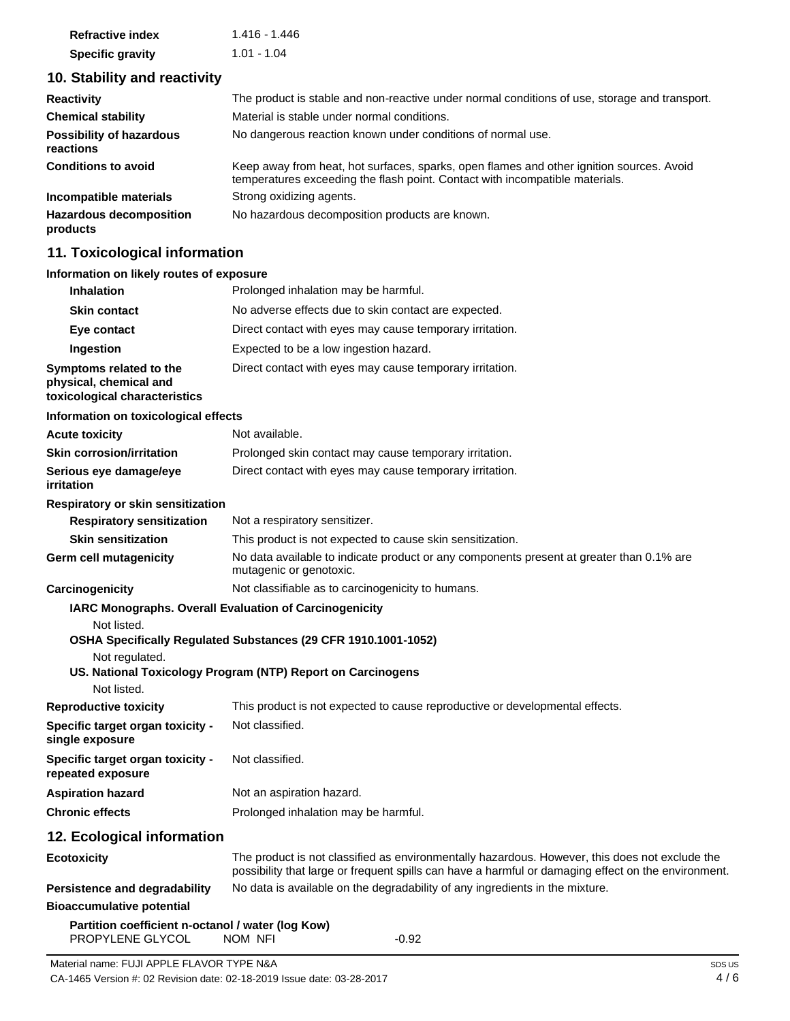| <b>Refractive index</b> | 1.416 - 1.446 |
|-------------------------|---------------|
| <b>Specific gravity</b> | 1.01 - 1.04   |

### **10. Stability and reactivity**

| <b>Reactivity</b>                            | The product is stable and non-reactive under normal conditions of use, storage and transport.                                                                            |
|----------------------------------------------|--------------------------------------------------------------------------------------------------------------------------------------------------------------------------|
| <b>Chemical stability</b>                    | Material is stable under normal conditions.                                                                                                                              |
| <b>Possibility of hazardous</b><br>reactions | No dangerous reaction known under conditions of normal use.                                                                                                              |
| <b>Conditions to avoid</b>                   | Keep away from heat, hot surfaces, sparks, open flames and other ignition sources. Avoid<br>temperatures exceeding the flash point. Contact with incompatible materials. |
| Incompatible materials                       | Strong oxidizing agents.                                                                                                                                                 |
| <b>Hazardous decomposition</b><br>products   | No hazardous decomposition products are known.                                                                                                                           |

### **11. Toxicological information**

#### **Information on likely routes of exposure**

| <b>Inhalation</b>                                                                  | Prolonged inhalation may be harmful.                                                                                                                                                                  |
|------------------------------------------------------------------------------------|-------------------------------------------------------------------------------------------------------------------------------------------------------------------------------------------------------|
| <b>Skin contact</b>                                                                | No adverse effects due to skin contact are expected.                                                                                                                                                  |
| Eye contact                                                                        | Direct contact with eyes may cause temporary irritation.                                                                                                                                              |
| Ingestion                                                                          | Expected to be a low ingestion hazard.                                                                                                                                                                |
| Symptoms related to the<br>physical, chemical and<br>toxicological characteristics | Direct contact with eyes may cause temporary irritation.                                                                                                                                              |
| Information on toxicological effects                                               |                                                                                                                                                                                                       |
| <b>Acute toxicity</b>                                                              | Not available.                                                                                                                                                                                        |
| <b>Skin corrosion/irritation</b>                                                   | Prolonged skin contact may cause temporary irritation.                                                                                                                                                |
| Serious eye damage/eye<br>irritation                                               | Direct contact with eyes may cause temporary irritation.                                                                                                                                              |
| Respiratory or skin sensitization                                                  |                                                                                                                                                                                                       |
| <b>Respiratory sensitization</b>                                                   | Not a respiratory sensitizer.                                                                                                                                                                         |
| <b>Skin sensitization</b>                                                          | This product is not expected to cause skin sensitization.                                                                                                                                             |
| Germ cell mutagenicity                                                             | No data available to indicate product or any components present at greater than 0.1% are<br>mutagenic or genotoxic.                                                                                   |
| Carcinogenicity                                                                    | Not classifiable as to carcinogenicity to humans.                                                                                                                                                     |
| Not listed.<br>Not regulated.<br>Not listed.                                       | <b>IARC Monographs. Overall Evaluation of Carcinogenicity</b><br>OSHA Specifically Regulated Substances (29 CFR 1910.1001-1052)<br>US. National Toxicology Program (NTP) Report on Carcinogens        |
| <b>Reproductive toxicity</b>                                                       | This product is not expected to cause reproductive or developmental effects.                                                                                                                          |
| Specific target organ toxicity -<br>single exposure                                | Not classified.                                                                                                                                                                                       |
| <b>Specific target organ toxicity -</b><br>repeated exposure                       | Not classified.                                                                                                                                                                                       |
| <b>Aspiration hazard</b>                                                           | Not an aspiration hazard.                                                                                                                                                                             |
| <b>Chronic effects</b>                                                             | Prolonged inhalation may be harmful.                                                                                                                                                                  |
| 12. Ecological information                                                         |                                                                                                                                                                                                       |
| <b>Ecotoxicity</b>                                                                 | The product is not classified as environmentally hazardous. However, this does not exclude the<br>possibility that large or frequent spills can have a harmful or damaging effect on the environment. |
| <b>Persistence and degradability</b>                                               | No data is available on the degradability of any ingredients in the mixture.                                                                                                                          |
| <b>Bioaccumulative potential</b>                                                   |                                                                                                                                                                                                       |
| Partition coefficient n-octanol / water (log Kow)<br>PROPYLENE GLYCOL              | NOM NFI<br>$-0.92$                                                                                                                                                                                    |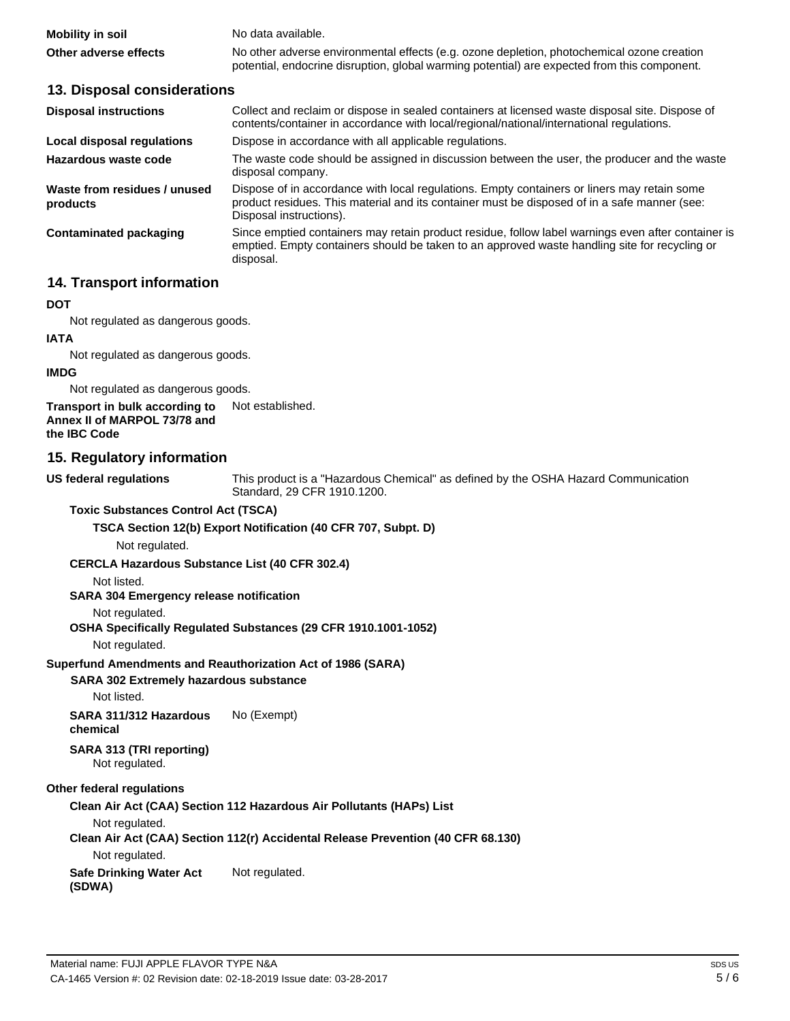| Mobility in soil      | No data available.                                                                           |
|-----------------------|----------------------------------------------------------------------------------------------|
| Other adverse effects | No other adverse environmental effects (e.g. ozone depletion, photochemical ozone creation   |
|                       | potential, endocrine disruption, global warming potential) are expected from this component. |

#### **13. Disposal considerations**

| <b>Disposal instructions</b>             | Collect and reclaim or dispose in sealed containers at licensed waste disposal site. Dispose of<br>contents/container in accordance with local/regional/national/international regulations.                            |
|------------------------------------------|------------------------------------------------------------------------------------------------------------------------------------------------------------------------------------------------------------------------|
| Local disposal regulations               | Dispose in accordance with all applicable regulations.                                                                                                                                                                 |
| Hazardous waste code                     | The waste code should be assigned in discussion between the user, the producer and the waste<br>disposal company.                                                                                                      |
| Waste from residues / unused<br>products | Dispose of in accordance with local regulations. Empty containers or liners may retain some<br>product residues. This material and its container must be disposed of in a safe manner (see:<br>Disposal instructions). |
| Contaminated packaging                   | Since emptied containers may retain product residue, follow label warnings even after container is<br>emptied. Empty containers should be taken to an approved waste handling site for recycling or<br>disposal.       |

#### **14. Transport information**

#### **DOT**

Not regulated as dangerous goods.

# **IATA**

Not regulated as dangerous goods.

#### **IMDG**

Not regulated as dangerous goods.

#### **Transport in bulk according to Annex II of MARPOL 73/78 and the IBC Code** Not established.

#### **15. Regulatory information**

**US federal regulations**

This product is a "Hazardous Chemical" as defined by the OSHA Hazard Communication Standard, 29 CFR 1910.1200.

#### **Toxic Substances Control Act (TSCA)**

#### **TSCA Section 12(b) Export Notification (40 CFR 707, Subpt. D)**

Not regulated.

#### **CERCLA Hazardous Substance List (40 CFR 302.4)**

Not listed.

#### **SARA 304 Emergency release notification**

#### Not regulated.

#### **OSHA Specifically Regulated Substances (29 CFR 1910.1001-1052)**

Not regulated.

#### **Superfund Amendments and Reauthorization Act of 1986 (SARA)**

#### **SARA 302 Extremely hazardous substance**

Not listed.

#### **SARA 311/312 Hazardous chemical** No (Exempt)

# **SARA 313 (TRI reporting)**

Not regulated.

#### **Other federal regulations**

#### **Clean Air Act (CAA) Section 112 Hazardous Air Pollutants (HAPs) List**

Not regulated.

#### **Clean Air Act (CAA) Section 112(r) Accidental Release Prevention (40 CFR 68.130)**

Not regulated.

#### **Safe Drinking Water Act**  Not regulated.

**(SDWA)**